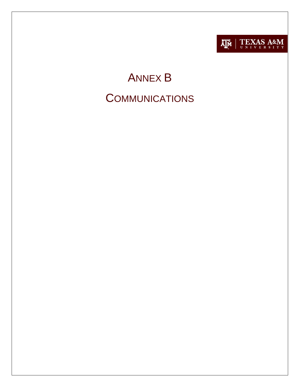

# ANNEX B **COMMUNICATIONS**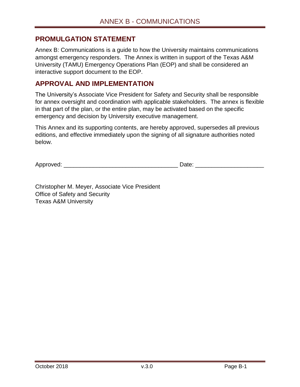#### <span id="page-1-0"></span>**PROMULGATION STATEMENT**

Annex B: Communications is a guide to how the University maintains communications amongst emergency responders. The Annex is written in support of the Texas A&M University (TAMU) Emergency Operations Plan (EOP) and shall be considered an interactive support document to the EOP.

#### <span id="page-1-1"></span>**APPROVAL AND IMPLEMENTATION**

The University's Associate Vice President for Safety and Security shall be responsible for annex oversight and coordination with applicable stakeholders. The annex is flexible in that part of the plan, or the entire plan, may be activated based on the specific emergency and decision by University executive management.

This Annex and its supporting contents, are hereby approved, supersedes all previous editions, and effective immediately upon the signing of all signature authorities noted below.

Approved:  $\Box$ 

Christopher M. Meyer, Associate Vice President Office of Safety and Security Texas A&M University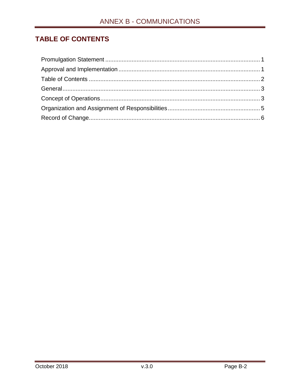## <span id="page-2-0"></span>**TABLE OF CONTENTS**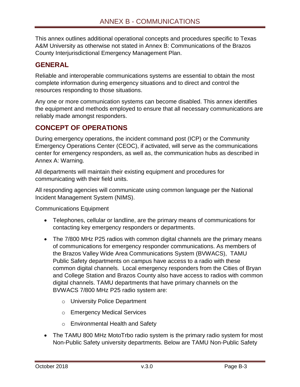This annex outlines additional operational concepts and procedures specific to Texas A&M University as otherwise not stated in Annex B: Communications of the Brazos County Interjurisdictional Emergency Management Plan.

## <span id="page-3-0"></span>**GENERAL**

Reliable and interoperable communications systems are essential to obtain the most complete information during emergency situations and to direct and control the resources responding to those situations.

Any one or more communication systems can become disabled. This annex identifies the equipment and methods employed to ensure that all necessary communications are reliably made amongst responders.

### <span id="page-3-1"></span>**CONCEPT OF OPERATIONS**

During emergency operations, the incident command post (ICP) or the Community Emergency Operations Center (CEOC), if activated, will serve as the communications center for emergency responders, as well as, the communication hubs as described in Annex A: Warning.

All departments will maintain their existing equipment and procedures for communicating with their field units.

All responding agencies will communicate using common language per the National Incident Management System (NIMS).

Communications Equipment

- Telephones, cellular or landline, are the primary means of communications for contacting key emergency responders or departments.
- The 7/800 MHz P25 radios with common digital channels are the primary means of communications for emergency responder communications. As members of the Brazos Valley Wide Area Communications System (BVWACS), TAMU Public Safety departments on campus have access to a radio with these common digital channels. Local emergency responders from the Cities of Bryan and College Station and Brazos County also have access to radios with common digital channels. TAMU departments that have primary channels on the BVWACS 7/800 MHz P25 radio system are:
	- o University Police Department
	- o Emergency Medical Services
	- o Environmental Health and Safety
- The TAMU 800 MHz MotoTrbo radio system is the primary radio system for most Non-Public Safety university departments. Below are TAMU Non-Public Safety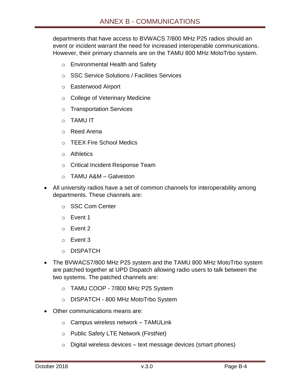departments that have access to BVWACS 7/800 MHz P25 radios should an event or incident warrant the need for increased interoperable communications. However, their primary channels are on the TAMU 800 MHz MotoTrbo system.

- o Environmental Health and Safety
- o SSC Service Solutions / Facilities Services
- o Easterwood Airport
- o College of Veterinary Medicine
- o Transportation Services
- o TAMU IT
- o Reed Arena
- o TEEX Fire School Medics
- o Athletics
- o Critical Incident Response Team
- o TAMU A&M Galveston
- All university radios have a set of common channels for interoperability among departments. These channels are:
	- o SSC Com Center
	- o Event 1
	- o Event 2
	- o Event 3
	- o DISPATCH
- The BVWACS7/800 MHz P25 system and the TAMU 800 MHz MotoTrbo system are patched together at UPD Dispatch allowing radio users to talk between the two systems. The patched channels are:
	- o TAMU COOP 7/800 MHz P25 System
	- o DISPATCH 800 MHz MotoTrbo System
- Other communications means are:
	- $\circ$  Campus wireless network TAMULink
	- o Public Safety LTE Network (FirstNet)
	- $\circ$  Digital wireless devices text message devices (smart phones)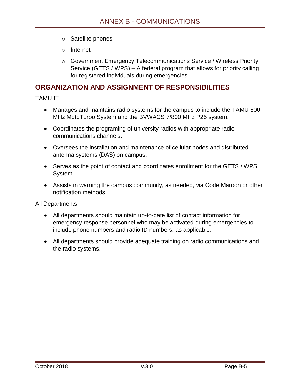- o Satellite phones
- o Internet
- o Government Emergency Telecommunications Service / Wireless Priority Service (GETS / WPS) – A federal program that allows for priority calling for registered individuals during emergencies.

#### <span id="page-5-0"></span>**ORGANIZATION AND ASSIGNMENT OF RESPONSIBILITIES**

TAMU IT

- Manages and maintains radio systems for the campus to include the TAMU 800 MHz MotoTurbo System and the BVWACS 7/800 MHz P25 system.
- Coordinates the programing of university radios with appropriate radio communications channels.
- Oversees the installation and maintenance of cellular nodes and distributed antenna systems (DAS) on campus.
- Serves as the point of contact and coordinates enrollment for the GETS / WPS System.
- Assists in warning the campus community, as needed, via Code Maroon or other notification methods.

All Departments

- All departments should maintain up-to-date list of contact information for emergency response personnel who may be activated during emergencies to include phone numbers and radio ID numbers, as applicable.
- All departments should provide adequate training on radio communications and the radio systems.